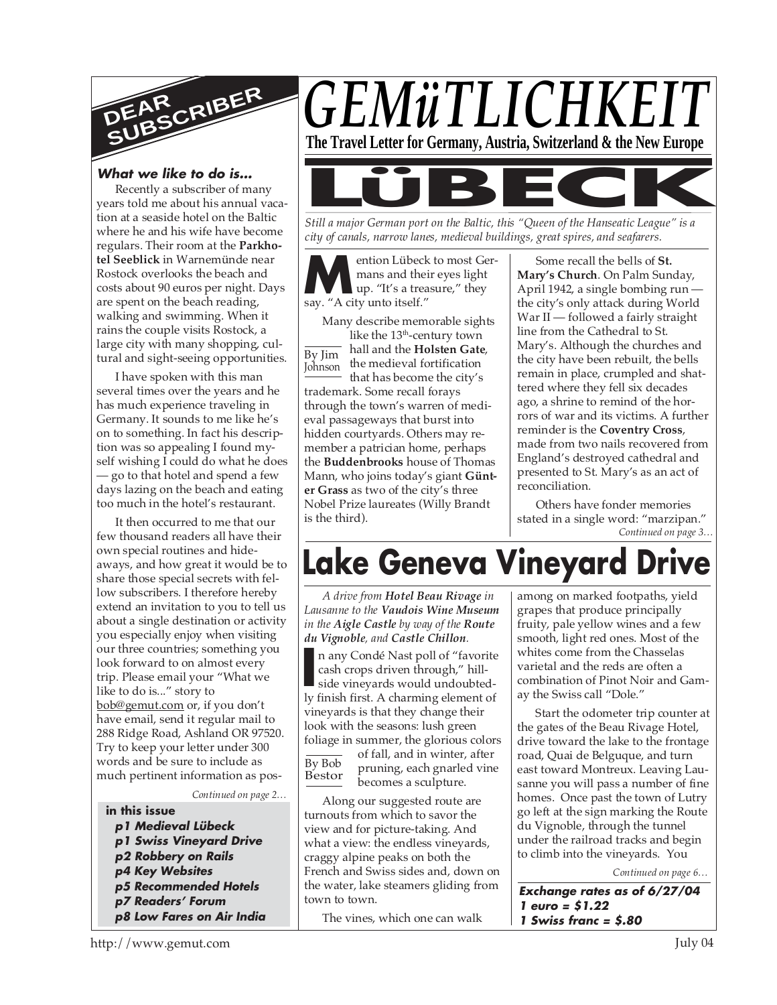

#### **What we like to do is…**

Recently a subscriber of many years told me about his annual vacation at a seaside hotel on the Baltic where he and his wife have become regulars. Their room at the **Parkhotel Seeblick** in Warnemünde near Rostock overlooks the beach and costs about 90 euros per night. Days are spent on the beach reading, walking and swimming. When it rains the couple visits Rostock, a large city with many shopping, cultural and sight-seeing opportunities.

I have spoken with this man several times over the years and he has much experience traveling in Germany. It sounds to me like he's on to something. In fact his description was so appealing I found myself wishing I could do what he does — go to that hotel and spend a few days lazing on the beach and eating too much in the hotel's restaurant.

It then occurred to me that our few thousand readers all have their own special routines and hideaways, and how great it would be to share those special secrets with fellow subscribers. I therefore hereby extend an invitation to you to tell us about a single destination or activity you especially enjoy when visiting our three countries; something you look forward to on almost every trip. Please email your "What we like to do is..." story to bob@gemut.com or, if you don't have email, send it regular mail to 288 Ridge Road, Ashland OR 97520. Try to keep your letter under 300 words and be sure to include as much pertinent information as pos-

*Continued on page 2…*

- **in this issue**
- **p1 Medieval Lübeck p1 Swiss Vineyard Drive**
- **p2 Robbery on Rails**
- **p4 Key Websites**
- **p5 Recommended Hotels**
- **p7 Readers' Forum p8 Low Fares on Air India**



*Still a major German port on the Baltic, this "Queen of the Hanseatic League" is a city of canals, narrow lanes, medieval buildings, great spires, and seafarers.*

**M**ention Lübeck<br>
mans and their<br>
say. "A city unto itself." ention Lübeck to most Germans and their eyes light up. "It's a treasure," they

Many describe memorable sights like the 13<sup>th</sup>-century town

By Jim Johnson hall and the **Holsten Gate**, the medieval fortification that has become the city's trademark. Some recall forays through the town's warren of medieval passageways that burst into hidden courtyards. Others may remember a patrician home, perhaps the **Buddenbrooks** house of Thomas Mann, who joins today's giant **Günter Grass** as two of the city's three Nobel Prize laureates (Willy Brandt is the third).

Some recall the bells of **St. Mary's Church**. On Palm Sunday, April 1942, a single bombing run the city's only attack during World War II — followed a fairly straight line from the Cathedral to St. Mary's. Although the churches and the city have been rebuilt, the bells remain in place, crumpled and shattered where they fell six decades ago, a shrine to remind of the horrors of war and its victims. A further reminder is the **Coventry Cross**, made from two nails recovered from England's destroyed cathedral and presented to St. Mary's as an act of reconciliation.

*Continued on page 3…* Others have fonder memories stated in a single word: "marzipan."

# **Lake Geneva Vineyard Drive**

*A drive from Hotel Beau Rivage in Lausanne to the Vaudois Wine Museum in the Aigle Castle by way of the Route du Vignoble, and Castle Chillon.*

n any Condé Nast poll of "favorite" cash crops driven through," hill-<br>side vineyards would undoubted-<br>ly finish first. A charming element of n any Condé Nast poll of "favorite cash crops driven through," hillside vineyards would undoubtedvineyards is that they change their look with the seasons: lush green foliage in summer, the glorious colors

By Bob Bestor

of fall, and in winter, after pruning, each gnarled vine becomes a sculpture.

Along our suggested route are turnouts from which to savor the view and for picture-taking. And what a view: the endless vineyards, craggy alpine peaks on both the French and Swiss sides and, down on the water, lake steamers gliding from town to town.

The vines, which one can walk

among on marked footpaths, yield grapes that produce principally fruity, pale yellow wines and a few smooth, light red ones. Most of the whites come from the Chasselas varietal and the reds are often a combination of Pinot Noir and Gamay the Swiss call "Dole."

Start the odometer trip counter at the gates of the Beau Rivage Hotel, drive toward the lake to the frontage road, Quai de Belguque, and turn east toward Montreux. Leaving Lausanne you will pass a number of fine homes. Once past the town of Lutry go left at the sign marking the Route du Vignoble, through the tunnel under the railroad tracks and begin to climb into the vineyards. You

*Continued on page 6…*

**Exchange rates as of 6/27/04 1 euro = \$1.22 1 Swiss franc = \$.80**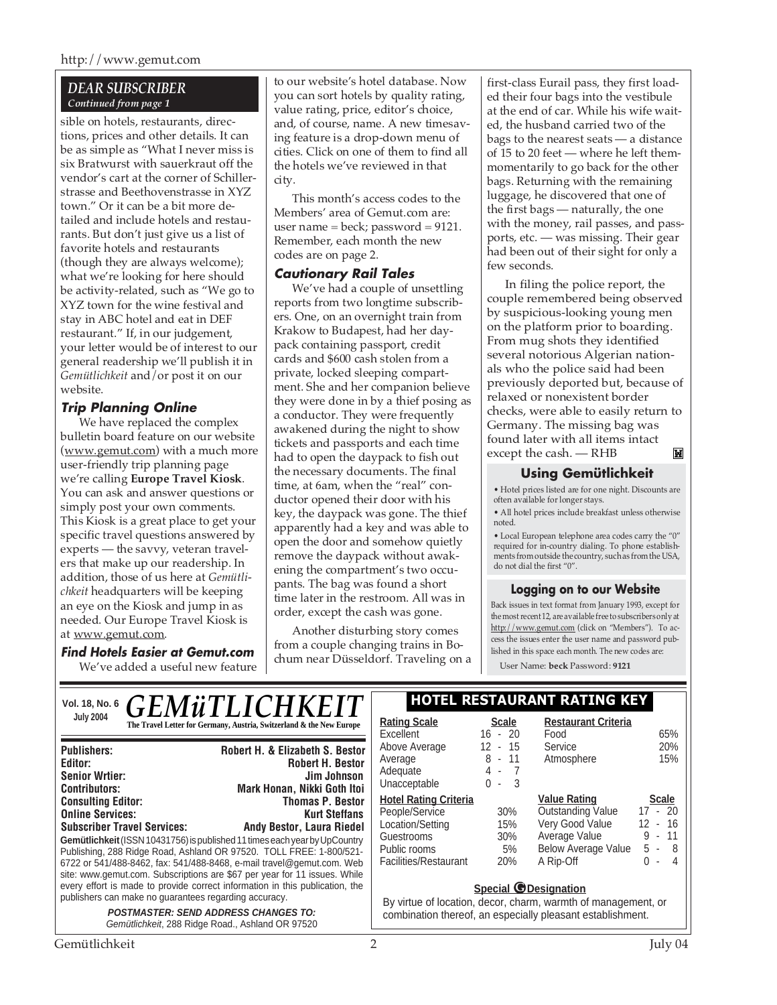http://www.gemut.com

#### *DEAR SUBSCRIBER Continued from page 1*

sible on hotels, restaurants, directions, prices and other details. It can be as simple as "What I never miss is six Bratwurst with sauerkraut off the vendor's cart at the corner of Schillerstrasse and Beethovenstrasse in XYZ town." Or it can be a bit more detailed and include hotels and restaurants. But don't just give us a list of favorite hotels and restaurants (though they are always welcome); what we're looking for here should be activity-related, such as "We go to XYZ town for the wine festival and stay in ABC hotel and eat in DEF restaurant." If, in our judgement, your letter would be of interest to our general readership we'll publish it in *Gemütlichkeit* and/or post it on our website.

#### **Trip Planning Online**

We have replaced the complex bulletin board feature on our website (www.gemut.com) with a much more user-friendly trip planning page we're calling **Europe Travel Kiosk**. You can ask and answer questions or simply post your own comments. This Kiosk is a great place to get your specific travel questions answered by experts — the savvy, veteran travelers that make up our readership. In addition, those of us here at *Gemütlichkeit* headquarters will be keeping an eye on the Kiosk and jump in as needed. Our Europe Travel Kiosk is at www.gemut.com.

**Find Hotels Easier at Gemut.com** We've added a useful new feature

to our website's hotel database. Now you can sort hotels by quality rating, value rating, price, editor's choice, and, of course, name. A new timesaving feature is a drop-down menu of cities. Click on one of them to find all the hotels we've reviewed in that city.

This month's access codes to the Members' area of Gemut.com are: user name = beck; password =  $9121$ . Remember, each month the new codes are on page 2.

#### **Cautionary Rail Tales**

We've had a couple of unsettling reports from two longtime subscribers. One, on an overnight train from Krakow to Budapest, had her daypack containing passport, credit cards and \$600 cash stolen from a private, locked sleeping compartment. She and her companion believe they were done in by a thief posing as a conductor. They were frequently awakened during the night to show tickets and passports and each time had to open the daypack to fish out the necessary documents. The final time, at 6am, when the "real" conductor opened their door with his key, the daypack was gone. The thief apparently had a key and was able to open the door and somehow quietly remove the daypack without awakening the compartment's two occupants. The bag was found a short time later in the restroom. All was in order, except the cash was gone.

Another disturbing story comes from a couple changing trains in Bochum near Düsseldorf. Traveling on a first-class Eurail pass, they first loaded their four bags into the vestibule at the end of car. While his wife waited, the husband carried two of the bags to the nearest seats — a distance of 15 to 20 feet — where he left themmomentarily to go back for the other bags. Returning with the remaining luggage, he discovered that one of the first bags — naturally, the one with the money, rail passes, and passports, etc. — was missing. Their gear had been out of their sight for only a few seconds.

In filing the police report, the couple remembered being observed by suspicious-looking young men on the platform prior to boarding. From mug shots they identified several notorious Algerian nationals who the police said had been previously deported but, because of relaxed or nonexistent border checks, were able to easily return to Germany. The missing bag was found later with all items intact except the cash. — RHB $\blacksquare$ 

#### **Using Gemütlichkeit**

• Hotel prices listed are for one night. Discounts are often available for longer stays.

• All hotel prices include breakfast unless otherwise noted.

• Local European telephone area codes carry the "0" required for in-country dialing. To phone establishments from outside the country, such as from the USA, do not dial the first "0".

#### **Logging on to our Website**

Back issues in text format from January 1993, except for the most recent 12, are available free to subscribers only at http://www.gemut.com (click on "Members"). To access the issues enter the user name and password published in this space each month. The new codes are:

User Name: **beck** Password: **9121**

| Vol. 18, No. 6 $GEMWTLICHKEIT$                                                                                                                                                                                                                                                                                        | I HOTEL KESTAUKANT KATING KEY                                                                                                                                                                                                                                                                              |                                                                                                                                                            |                                           |                                                                                                                                |                                                                          |
|-----------------------------------------------------------------------------------------------------------------------------------------------------------------------------------------------------------------------------------------------------------------------------------------------------------------------|------------------------------------------------------------------------------------------------------------------------------------------------------------------------------------------------------------------------------------------------------------------------------------------------------------|------------------------------------------------------------------------------------------------------------------------------------------------------------|-------------------------------------------|--------------------------------------------------------------------------------------------------------------------------------|--------------------------------------------------------------------------|
| <b>July 2004</b>                                                                                                                                                                                                                                                                                                      | The Travel Letter for Germany, Austria, Switzerland & the New Europe                                                                                                                                                                                                                                       | <b>Rating Scale</b><br>Excellent                                                                                                                           | <b>Scale</b><br>$16 - 20$                 | <b>Restaurant Criteria</b><br>Food                                                                                             | 65%                                                                      |
| <b>Publishers:</b><br>Editor:<br><b>Senior Wrtier:</b><br><b>Contributors:</b>                                                                                                                                                                                                                                        | <b>Robert H. &amp; Elizabeth S. Bestor</b><br><b>Robert H. Bestor</b><br>Jim Johnson<br><b>Mark Honan, Nikki Goth Itoi</b>                                                                                                                                                                                 | Above Average<br>Average<br>Adequate<br>Unacceptable                                                                                                       | 12 - 15<br>$8 - 11$<br>$4 - 7$<br>$0 - 3$ | Service<br>Atmosphere                                                                                                          | 20%<br>15%                                                               |
| <b>Consulting Editor:</b><br><b>Online Services:</b><br><b>Subscriber Travel Services:</b>                                                                                                                                                                                                                            | <b>Thomas P. Bestor</b><br><b>Kurt Steffans</b><br>Andy Bestor, Laura Riedel<br>Gemütlichkeit (ISSN 10431756) is published 11 times each year by UpCountry<br>Publishing, 288 Ridge Road, Ashland OR 97520. TOLL FREE: 1-800/521-<br>6722 or 541/488-8462, fax: 541/488-8468, e-mail travel@gemut.com. Web | <b>Hotel Rating Criteria</b><br>People/Service<br>Location/Setting<br>Guestrooms<br>Public rooms<br>Facilities/Restaurant                                  | 30%<br>15%<br>30%<br>5%<br>20%            | <b>Value Rating</b><br><b>Outstanding Value</b><br>Very Good Value<br>Average Value<br><b>Below Average Value</b><br>A Rip-Off | <b>Scale</b><br>$17 - 20$<br>$12 - 16$<br>$9 - 11$<br>$5 - 8$<br>$0 - 4$ |
| site: www.gemut.com. Subscriptions are \$67 per year for 11 issues. While<br>every effort is made to provide correct information in this publication, the<br>publishers can make no guarantees regarding accuracy.<br><b>POSTMASTER: SEND ADDRESS CHANGES TO:</b><br>Gemütlichkeit, 288 Ridge Road., Ashland OR 97520 |                                                                                                                                                                                                                                                                                                            | <b>Special @Designation</b><br>By virtue of location, decor, charm, warmth of management, or<br>combination thereof, an especially pleasant establishment. |                                           |                                                                                                                                |                                                                          |

### **Vol. 18, No. 6 HOTEL RESTAURANT RATING KEY**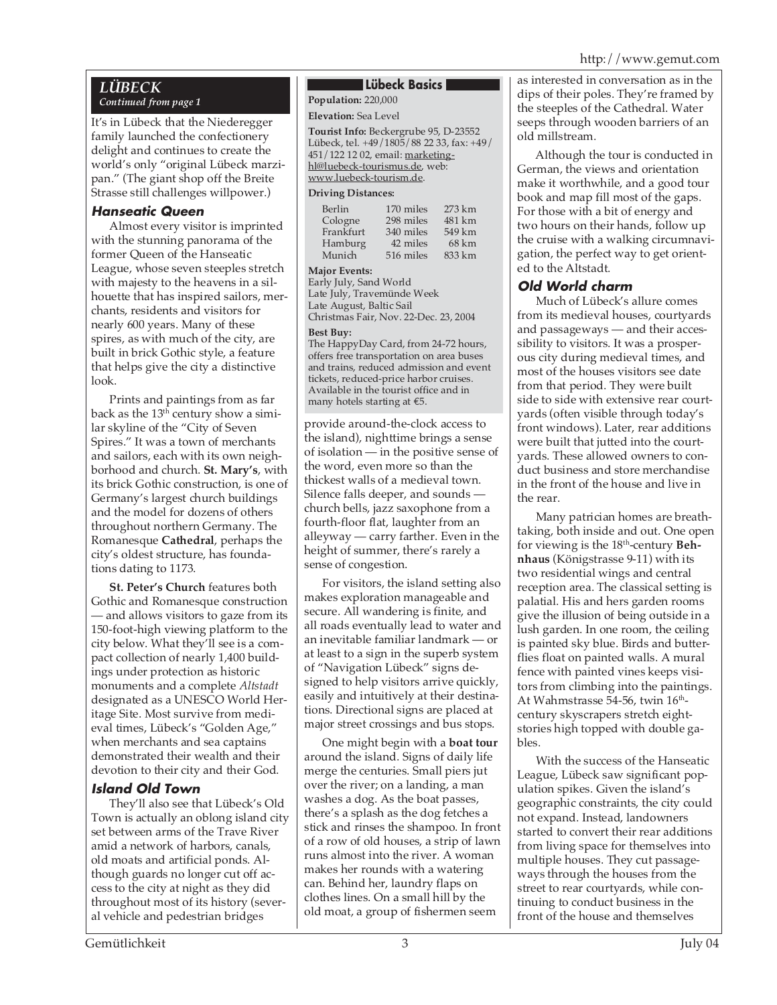#### *LÜBECK Continued from page 1*

It's in Lübeck that the Niederegger family launched the confectionery delight and continues to create the world's only "original Lübeck marzipan." (The giant shop off the Breite Strasse still challenges willpower.)

#### **Hanseatic Queen**

Almost every visitor is imprinted with the stunning panorama of the former Queen of the Hanseatic League, whose seven steeples stretch with majesty to the heavens in a silhouette that has inspired sailors, merchants, residents and visitors for nearly 600 years. Many of these spires, as with much of the city, are built in brick Gothic style, a feature that helps give the city a distinctive look.

Prints and paintings from as far back as the 13<sup>th</sup> century show a similar skyline of the "City of Seven Spires." It was a town of merchants and sailors, each with its own neighborhood and church. **St. Mary's**, with its brick Gothic construction, is one of Germany's largest church buildings and the model for dozens of others throughout northern Germany. The Romanesque **Cathedral**, perhaps the city's oldest structure, has foundations dating to 1173.

**St. Peter's Church** features both Gothic and Romanesque construction — and allows visitors to gaze from its 150-foot-high viewing platform to the city below. What they'll see is a compact collection of nearly 1,400 buildings under protection as historic monuments and a complete *Altstadt* designated as a UNESCO World Heritage Site. Most survive from medieval times, Lübeck's "Golden Age," when merchants and sea captains demonstrated their wealth and their devotion to their city and their God.

### **Island Old Town**

They'll also see that Lübeck's Old Town is actually an oblong island city set between arms of the Trave River amid a network of harbors, canals, old moats and artificial ponds. Although guards no longer cut off access to the city at night as they did throughout most of its history (several vehicle and pedestrian bridges

#### **Lübeck Basics**

**Population:** 220,000

#### **Elevation:** Sea Level

**Tourist Info:** Beckergrube 95, D-23552 Lübeck, tel. +49/1805/88 22 33, fax: +49/ 451/122 12 02, email: marketinghl@luebeck-tourismus.de, web: www.luebeck-tourism.de.

#### **Driving Distances:**

| 170 miles | 273 km |
|-----------|--------|
| 298 miles | 481 km |
| 340 miles | 549 km |
| 42 miles  | 68 km  |
| 516 miles | 833 km |
|           |        |

#### **Major Events:**

Early July, Sand World Late July, Travemünde Week Late August, Baltic Sail Christmas Fair, Nov. 22-Dec. 23, 2004

#### **Best Buy:**

The HappyDay Card, from 24-72 hours, offers free transportation on area buses and trains, reduced admission and event tickets, reduced-price harbor cruises. Available in the tourist office and in many hotels starting at €5.

provide around-the-clock access to the island), nighttime brings a sense of isolation — in the positive sense of the word, even more so than the thickest walls of a medieval town. Silence falls deeper, and sounds church bells, jazz saxophone from a fourth-floor flat, laughter from an alleyway — carry farther. Even in the height of summer, there's rarely a sense of congestion.

For visitors, the island setting also makes exploration manageable and secure. All wandering is finite, and all roads eventually lead to water and an inevitable familiar landmark — or at least to a sign in the superb system of "Navigation Lübeck" signs designed to help visitors arrive quickly, easily and intuitively at their destinations. Directional signs are placed at major street crossings and bus stops.

One might begin with a **boat tour** around the island. Signs of daily life merge the centuries. Small piers jut over the river; on a landing, a man washes a dog. As the boat passes, there's a splash as the dog fetches a stick and rinses the shampoo. In front of a row of old houses, a strip of lawn runs almost into the river. A woman makes her rounds with a watering can. Behind her, laundry flaps on clothes lines. On a small hill by the old moat, a group of fishermen seem

as interested in conversation as in the dips of their poles. They're framed by the steeples of the Cathedral. Water seeps through wooden barriers of an old millstream.

Although the tour is conducted in German, the views and orientation make it worthwhile, and a good tour book and map fill most of the gaps. For those with a bit of energy and two hours on their hands, follow up the cruise with a walking circumnavigation, the perfect way to get oriented to the Altstadt.

### **Old World charm**

Much of Lübeck's allure comes from its medieval houses, courtyards and passageways — and their accessibility to visitors. It was a prosperous city during medieval times, and most of the houses visitors see date from that period. They were built side to side with extensive rear courtyards (often visible through today's front windows). Later, rear additions were built that jutted into the courtyards. These allowed owners to conduct business and store merchandise in the front of the house and live in the rear.

Many patrician homes are breathtaking, both inside and out. One open for viewing is the 18th-century **Behnhaus** (Königstrasse 9-11) with its two residential wings and central reception area. The classical setting is palatial. His and hers garden rooms give the illusion of being outside in a lush garden. In one room, the ceiling is painted sky blue. Birds and butterflies float on painted walls. A mural fence with painted vines keeps visitors from climbing into the paintings. At Wahmstrasse 54-56, twin 16<sup>th</sup>century skyscrapers stretch eightstories high topped with double gables.

With the success of the Hanseatic League, Lübeck saw significant population spikes. Given the island's geographic constraints, the city could not expand. Instead, landowners started to convert their rear additions from living space for themselves into multiple houses. They cut passageways through the houses from the street to rear courtyards, while continuing to conduct business in the front of the house and themselves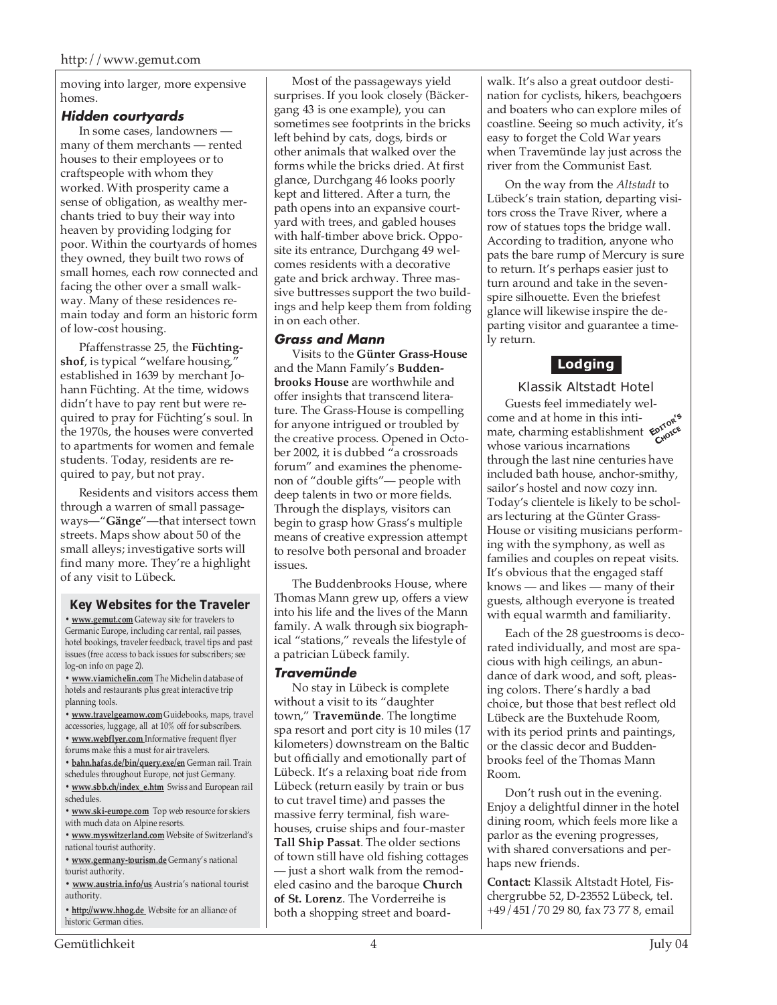moving into larger, more expensive homes.

#### **Hidden courtyards**

In some cases, landowners many of them merchants — rented houses to their employees or to craftspeople with whom they worked. With prosperity came a sense of obligation, as wealthy merchants tried to buy their way into heaven by providing lodging for poor. Within the courtyards of homes they owned, they built two rows of small homes, each row connected and facing the other over a small walkway. Many of these residences remain today and form an historic form of low-cost housing.

Pfaffenstrasse 25, the **Füchtingshof**, is typical "welfare housing," established in 1639 by merchant Johann Füchting. At the time, widows didn't have to pay rent but were required to pray for Füchting's soul. In the 1970s, the houses were converted to apartments for women and female students. Today, residents are required to pay, but not pray.

Residents and visitors access them through a warren of small passageways—"**Gänge**"—that intersect town streets. Maps show about 50 of the small alleys; investigative sorts will find many more. They're a highlight of any visit to Lübeck.

#### **Key Websites for the Traveler**

**• www.gemut.com** Gateway site for travelers to Germanic Europe, including car rental, rail passes, hotel bookings, traveler feedback, travel tips and past issues (free access to back issues for subscribers; see log-on info on page 2).

**• www.viamichelin.com** The Michelin database of hotels and restaurants plus great interactive trip planning tools.

**• www.travelgearnow.com** Guidebooks, maps, travel accessories, luggage, all at 10% off for subscribers.

- **www.webflyer.com** Informative frequent flyer forums make this a must for air travelers.
- **bahn.hafas.de/bin/query.exe/en** German rail. Train
- schedules throughout Europe, not just Germany.
- **www.sbb.ch/index\_e.htm** Swiss and European rail schedules.
- **www.ski-europe.com** Top web resource for skiers with much data on Alpine resorts.
- **www.myswitzerland.com** Website of Switzerland's national tourist authority.
- **www.germany-tourism.de** Germany's national tourist authority.
- **www.austria.info/us** Austria's national tourist authority.
- **http://www.hhog.de** Website for an alliance of historic German cities.

Most of the passageways yield surprises. If you look closely (Bäckergang 43 is one example), you can sometimes see footprints in the bricks left behind by cats, dogs, birds or other animals that walked over the forms while the bricks dried. At first glance, Durchgang 46 looks poorly kept and littered. After a turn, the path opens into an expansive courtyard with trees, and gabled houses with half-timber above brick. Opposite its entrance, Durchgang 49 welcomes residents with a decorative gate and brick archway. Three massive buttresses support the two buildings and help keep them from folding in on each other.

#### **Grass and Mann**

Visits to the **Günter Grass-House** and the Mann Family's **Buddenbrooks House** are worthwhile and offer insights that transcend literature. The Grass-House is compelling for anyone intrigued or troubled by the creative process. Opened in October 2002, it is dubbed "a crossroads forum" and examines the phenomenon of "double gifts"— people with deep talents in two or more fields. Through the displays, visitors can begin to grasp how Grass's multiple means of creative expression attempt to resolve both personal and broader issues.

The Buddenbrooks House, where Thomas Mann grew up, offers a view into his life and the lives of the Mann family. A walk through six biographical "stations," reveals the lifestyle of a patrician Lübeck family.

#### **Travemünde**

No stay in Lübeck is complete without a visit to its "daughter town," **Travemünde**. The longtime spa resort and port city is 10 miles (17 kilometers) downstream on the Baltic but officially and emotionally part of Lübeck. It's a relaxing boat ride from Lübeck (return easily by train or bus to cut travel time) and passes the massive ferry terminal, fish warehouses, cruise ships and four-master **Tall Ship Passat**. The older sections of town still have old fishing cottages — just a short walk from the remodeled casino and the baroque **Church of St. Lorenz**. The Vorderreihe is both a shopping street and boardwalk. It's also a great outdoor destination for cyclists, hikers, beachgoers and boaters who can explore miles of coastline. Seeing so much activity, it's easy to forget the Cold War years when Travemünde lay just across the river from the Communist East.

On the way from the *Altstadt* to Lübeck's train station, departing visitors cross the Trave River, where a row of statues tops the bridge wall. According to tradition, anyone who pats the bare rump of Mercury is sure to return. It's perhaps easier just to turn around and take in the sevenspire silhouette. Even the briefest glance will likewise inspire the departing visitor and guarantee a timely return.

## **Lodging**

#### Klassik Altstadt Hotel

Guests feel immediately welcome and at home in this inticome and at home in this inti-<br>mate, charming establishment  $\epsilon_{\alpha}^{\text{prode}}$ <sup>5</sup> whose various incarnations through the last nine centuries have included bath house, anchor-smithy, sailor's hostel and now cozy inn. Today's clientele is likely to be scholars lecturing at the Günter Grass-House or visiting musicians performing with the symphony, as well as families and couples on repeat visits. It's obvious that the engaged staff knows — and likes — many of their guests, although everyone is treated with equal warmth and familiarity.

Each of the 28 guestrooms is decorated individually, and most are spacious with high ceilings, an abundance of dark wood, and soft, pleasing colors. There's hardly a bad choice, but those that best reflect old Lübeck are the Buxtehude Room, with its period prints and paintings, or the classic decor and Buddenbrooks feel of the Thomas Mann Room.

Don't rush out in the evening. Enjoy a delightful dinner in the hotel dining room, which feels more like a parlor as the evening progresses, with shared conversations and perhaps new friends.

**Contact:** Klassik Altstadt Hotel, Fischergrubbe 52, D-23552 Lübeck, tel. +49/451/70 29 80, fax 73 77 8, email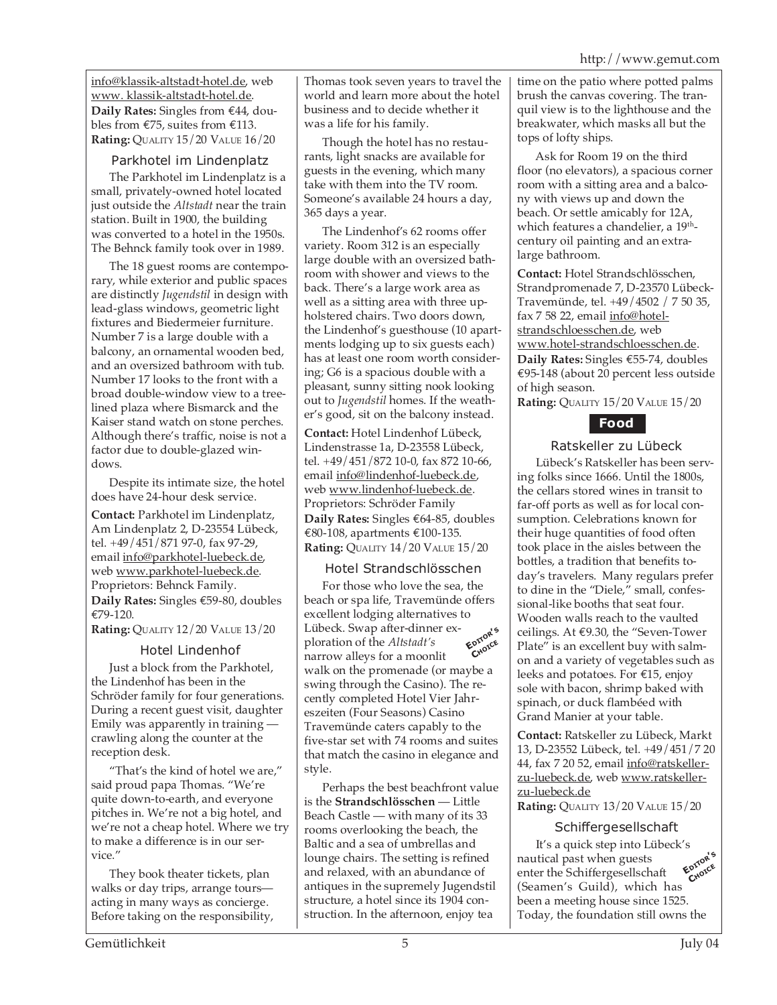info@klassik-altstadt-hotel.de, web www. klassik-altstadt-hotel.de. **Daily Rates:** Singles from €44, doubles from €75, suites from €113. **Rating:** QUALITY 15/20 VALUE 16/20

#### Parkhotel im Lindenplatz

The Parkhotel im Lindenplatz is a small, privately-owned hotel located just outside the *Altstadt* near the train station. Built in 1900, the building was converted to a hotel in the 1950s. The Behnck family took over in 1989.

The 18 guest rooms are contemporary, while exterior and public spaces are distinctly *Jugendstil* in design with lead-glass windows, geometric light fixtures and Biedermeier furniture. Number 7 is a large double with a balcony, an ornamental wooden bed, and an oversized bathroom with tub. Number 17 looks to the front with a broad double-window view to a treelined plaza where Bismarck and the Kaiser stand watch on stone perches. Although there's traffic, noise is not a factor due to double-glazed windows.

Despite its intimate size, the hotel does have 24-hour desk service.

**Contact:** Parkhotel im Lindenplatz, Am Lindenplatz 2, D-23554 Lübeck, tel. +49/451/871 97-0, fax 97-29, email info@parkhotel-luebeck.de, web www.parkhotel-luebeck.de. Proprietors: Behnck Family. **Daily Rates:** Singles €59-80, doubles €79-120.

**Rating:** QUALITY 12/20 VALUE 13/20

#### Hotel Lindenhof

Just a block from the Parkhotel, the Lindenhof has been in the Schröder family for four generations. During a recent guest visit, daughter Emily was apparently in training crawling along the counter at the reception desk.

"That's the kind of hotel we are," said proud papa Thomas. "We're quite down-to-earth, and everyone pitches in. We're not a big hotel, and we're not a cheap hotel. Where we try to make a difference is in our service."

They book theater tickets, plan walks or day trips, arrange tours acting in many ways as concierge. Before taking on the responsibility, Thomas took seven years to travel the world and learn more about the hotel business and to decide whether it was a life for his family.

Though the hotel has no restaurants, light snacks are available for guests in the evening, which many take with them into the TV room. Someone's available 24 hours a day, 365 days a year.

The Lindenhof's 62 rooms offer variety. Room 312 is an especially large double with an oversized bathroom with shower and views to the back. There's a large work area as well as a sitting area with three upholstered chairs. Two doors down, the Lindenhof's guesthouse (10 apartments lodging up to six guests each) has at least one room worth considering; G6 is a spacious double with a pleasant, sunny sitting nook looking out to *Jugendstil* homes. If the weather's good, sit on the balcony instead.

**Contact:** Hotel Lindenhof Lübeck, Lindenstrasse 1a, D-23558 Lübeck, tel. +49/451/872 10-0, fax 872 10-66, email info@lindenhof-luebeck.de, web www.lindenhof-luebeck.de. Proprietors: Schröder Family **Daily Rates:** Singles €64-85, doubles €80-108, apartments €100-135. **Rating:** QUALITY 14/20 VALUE 15/20

### Hotel Strandschlösschen

For those who love the sea, the beach or spa life, Travemünde offers excellent lodging alternatives to Lübeck. Swap after-dinner exploration of the *Altstadt's* narrow alleys for a moonlit walk on the promenade (or maybe a swing through the Casino). The recently completed Hotel Vier Jahreszeiten (Four Seasons) Casino Travemünde caters capably to the five-star set with 74 rooms and suites that match the casino in elegance and style. **EDITOR'<sup>S</sup> CHOICE**

Perhaps the best beachfront value is the **Strandschlösschen** — Little Beach Castle — with many of its 33 rooms overlooking the beach, the Baltic and a sea of umbrellas and lounge chairs. The setting is refined and relaxed, with an abundance of antiques in the supremely Jugendstil structure, a hotel since its 1904 construction. In the afternoon, enjoy tea

time on the patio where potted palms brush the canvas covering. The tranquil view is to the lighthouse and the breakwater, which masks all but the tops of lofty ships.

Ask for Room 19 on the third floor (no elevators), a spacious corner room with a sitting area and a balcony with views up and down the beach. Or settle amicably for 12A, which features a chandelier, a 19<sup>th</sup>century oil painting and an extralarge bathroom.

**Contact:** Hotel Strandschlösschen, Strandpromenade 7, D-23570 Lübeck-Travemünde, tel. +49/4502 / 7 50 35, fax 7 58 22, email info@hotelstrandschloesschen.de, web www.hotel-strandschloesschen.de. **Daily Rates:** Singles €55-74, doubles €95-148 (about 20 percent less outside of high season.

**Rating:** QUALITY 15/20 VALUE 15/20



#### Ratskeller zu Lübeck

Lübeck's Ratskeller has been serving folks since 1666. Until the 1800s, the cellars stored wines in transit to far-off ports as well as for local consumption. Celebrations known for their huge quantities of food often took place in the aisles between the bottles, a tradition that benefits today's travelers. Many regulars prefer to dine in the "Diele," small, confessional-like booths that seat four. Wooden walls reach to the vaulted ceilings. At €9.30, the "Seven-Tower Plate" is an excellent buy with salmon and a variety of vegetables such as leeks and potatoes. For €15, enjoy sole with bacon, shrimp baked with spinach, or duck flambéed with Grand Manier at your table.

**Contact:** Ratskeller zu Lübeck, Markt 13, D-23552 Lübeck, tel. +49/451/7 20 44, fax 7 20 52, email info@ratskellerzu-luebeck.de, web www.ratskellerzu-luebeck.de

**Rating:** QUALITY 13/20 VALUE 15/20

#### Schiffergesellschaft

It's a quick step into Lübeck's nautical past when guests enter the Schiffergesellschaft (Seamen's Guild), which has been a meeting house since 1525. Today, the foundation still owns the **EDITOR'<sup>S</sup> CHOICE**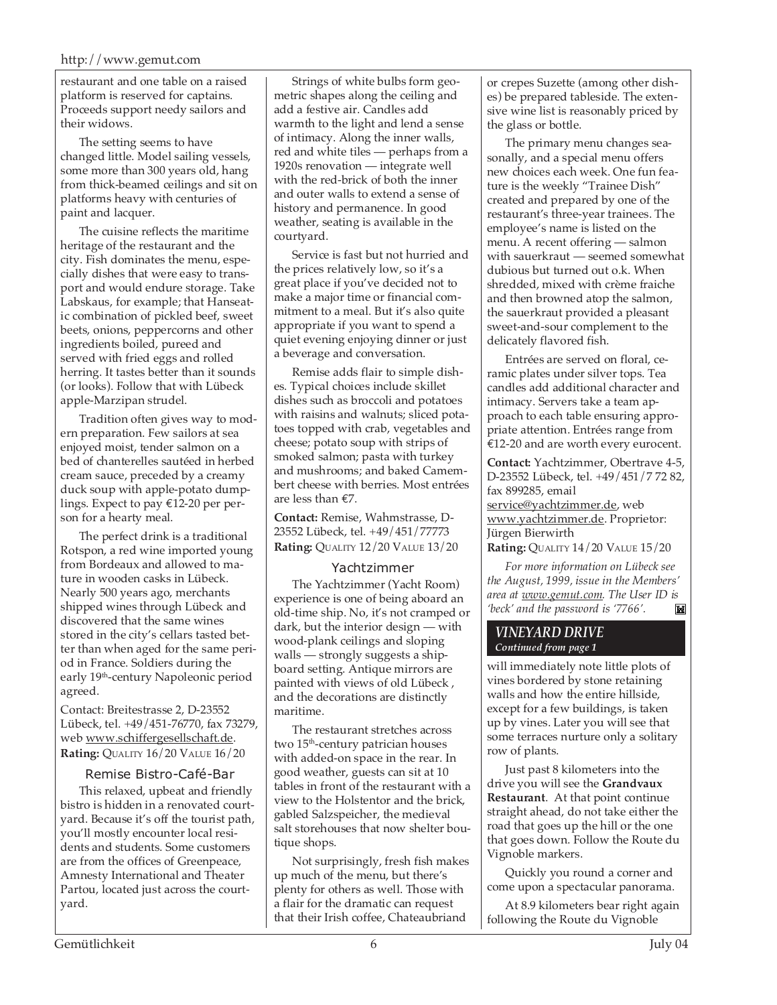restaurant and one table on a raised platform is reserved for captains. Proceeds support needy sailors and their widows.

The setting seems to have changed little. Model sailing vessels, some more than 300 years old, hang from thick-beamed ceilings and sit on platforms heavy with centuries of paint and lacquer.

The cuisine reflects the maritime heritage of the restaurant and the city. Fish dominates the menu, especially dishes that were easy to transport and would endure storage. Take Labskaus, for example; that Hanseatic combination of pickled beef, sweet beets, onions, peppercorns and other ingredients boiled, pureed and served with fried eggs and rolled herring. It tastes better than it sounds (or looks). Follow that with Lübeck apple-Marzipan strudel.

Tradition often gives way to modern preparation. Few sailors at sea enjoyed moist, tender salmon on a bed of chanterelles sautéed in herbed cream sauce, preceded by a creamy duck soup with apple-potato dumplings. Expect to pay €12-20 per person for a hearty meal.

The perfect drink is a traditional Rotspon, a red wine imported young from Bordeaux and allowed to mature in wooden casks in Lübeck. Nearly 500 years ago, merchants shipped wines through Lübeck and discovered that the same wines stored in the city's cellars tasted better than when aged for the same period in France. Soldiers during the early 19th-century Napoleonic period agreed.

Contact: Breitestrasse 2, D-23552 Lübeck, tel. +49/451-76770, fax 73279, web www.schiffergesellschaft.de. **Rating:** QUALITY 16/20 VALUE 16/20

#### Remise Bistro-Café-Bar

This relaxed, upbeat and friendly bistro is hidden in a renovated courtyard. Because it's off the tourist path, you'll mostly encounter local residents and students. Some customers are from the offices of Greenpeace, Amnesty International and Theater Partou, located just across the courtyard.

Strings of white bulbs form geometric shapes along the ceiling and add a festive air. Candles add warmth to the light and lend a sense of intimacy. Along the inner walls, red and white tiles — perhaps from a 1920s renovation — integrate well with the red-brick of both the inner and outer walls to extend a sense of history and permanence. In good weather, seating is available in the courtyard.

Service is fast but not hurried and the prices relatively low, so it's a great place if you've decided not to make a major time or financial commitment to a meal. But it's also quite appropriate if you want to spend a quiet evening enjoying dinner or just a beverage and conversation.

Remise adds flair to simple dishes. Typical choices include skillet dishes such as broccoli and potatoes with raisins and walnuts; sliced potatoes topped with crab, vegetables and cheese; potato soup with strips of smoked salmon; pasta with turkey and mushrooms; and baked Camembert cheese with berries. Most entrées are less than €7.

**Contact:** Remise, Wahmstrasse, D-23552 Lübeck, tel. +49/451/77773 **Rating:** QUALITY 12/20 VALUE 13/20

#### Yachtzimmer

The Yachtzimmer (Yacht Room) experience is one of being aboard an old-time ship. No, it's not cramped or dark, but the interior design — with wood-plank ceilings and sloping walls — strongly suggests a shipboard setting. Antique mirrors are painted with views of old Lübeck , and the decorations are distinctly maritime.

The restaurant stretches across two 15<sup>th</sup>-century patrician houses with added-on space in the rear. In good weather, guests can sit at 10 tables in front of the restaurant with a view to the Holstentor and the brick, gabled Salzspeicher, the medieval salt storehouses that now shelter boutique shops.

Not surprisingly, fresh fish makes up much of the menu, but there's plenty for others as well. Those with a flair for the dramatic can request that their Irish coffee, Chateaubriand

or crepes Suzette (among other dishes) be prepared tableside. The extensive wine list is reasonably priced by the glass or bottle.

The primary menu changes seasonally, and a special menu offers new choices each week. One fun feature is the weekly "Trainee Dish" created and prepared by one of the restaurant's three-year trainees. The employee's name is listed on the menu. A recent offering — salmon with sauerkraut — seemed somewhat dubious but turned out o.k. When shredded, mixed with crème fraiche and then browned atop the salmon, the sauerkraut provided a pleasant sweet-and-sour complement to the delicately flavored fish.

Entrées are served on floral, ceramic plates under silver tops. Tea candles add additional character and intimacy. Servers take a team approach to each table ensuring appropriate attention. Entrées range from €12-20 and are worth every eurocent.

**Contact:** Yachtzimmer, Obertrave 4-5, D-23552 Lübeck, tel. +49/451/7 72 82, fax 899285, email service@yachtzimmer.de, web www.yachtzimmer.de. Proprietor: Jürgen Bierwirth **Rating:** QUALITY 14/20 VALUE 15/20

*For more information on Lübeck see the August, 1999, issue in the Members' area at www.gemut.com. The User ID is 'beck' and the password is '7766'.*M

#### *VINEYARD DRIVE Continued from page 1*

will immediately note little plots of vines bordered by stone retaining walls and how the entire hillside, except for a few buildings, is taken up by vines. Later you will see that some terraces nurture only a solitary row of plants.

Just past 8 kilometers into the drive you will see the **Grandvaux Restaurant**. At that point continue straight ahead, do not take either the road that goes up the hill or the one that goes down. Follow the Route du Vignoble markers.

Quickly you round a corner and come upon a spectacular panorama.

At 8.9 kilometers bear right again following the Route du Vignoble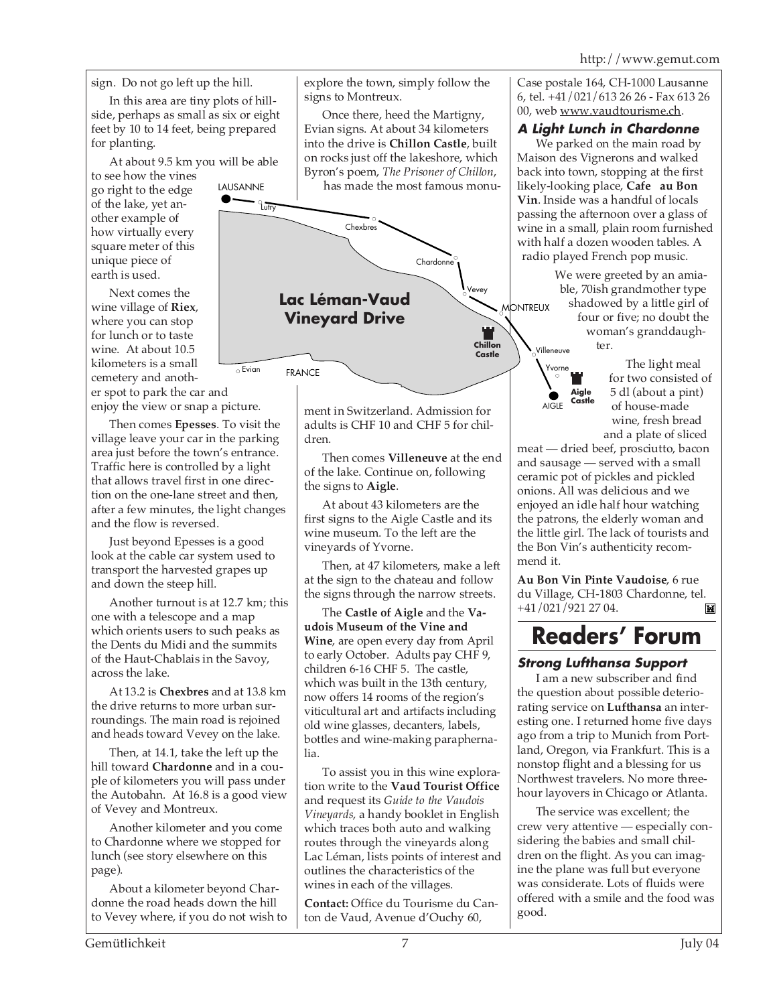http://www.gemut.com

sign. Do not go left up the hill.

In this area are tiny plots of hillside, perhaps as small as six or eight feet by 10 to 14 feet, being prepared for planting.

At about 9.5 km you will be able

LAUSANNE

to see how the vines go right to the edge of the lake, yet another example of how virtually every square meter of this unique piece of earth is used.

Next comes the wine village of **Riex**, where you can stop for lunch or to taste wine. At about 10.5 kilometers is a small cemetery and another spot to park the car and

enjoy the view or snap a picture.

Then comes **Epesses**. To visit the village leave your car in the parking area just before the town's entrance. Traffic here is controlled by a light that allows travel first in one direction on the one-lane street and then, after a few minutes, the light changes and the flow is reversed.

Just beyond Epesses is a good look at the cable car system used to transport the harvested grapes up and down the steep hill.

Another turnout is at 12.7 km; this one with a telescope and a map which orients users to such peaks as the Dents du Midi and the summits of the Haut-Chablais in the Savoy, across the lake.

At 13.2 is **Chexbres** and at 13.8 km the drive returns to more urban surroundings. The main road is rejoined and heads toward Vevey on the lake.

Then, at 14.1, take the left up the hill toward **Chardonne** and in a couple of kilometers you will pass under the Autobahn. At 16.8 is a good view of Vevey and Montreux.

Another kilometer and you come to Chardonne where we stopped for lunch (see story elsewhere on this page).

About a kilometer beyond Chardonne the road heads down the hill to Vevey where, if you do not wish to

explore the town, simply follow the signs to Montreux.

Once there, heed the Martigny, Evian signs. At about 34 kilometers into the drive is **Chillon Castle**, built on rocks just off the lakeshore, which Byron's poem, *The Prisoner of Chillon*, has made the most famous monu-



ment in Switzerland. Admission for adults is CHF 10 and CHF 5 for children.

Then comes **Villeneuve** at the end of the lake. Continue on, following the signs to **Aigle**.

At about 43 kilometers are the first signs to the Aigle Castle and its wine museum. To the left are the vineyards of Yvorne.

Then, at 47 kilometers, make a left at the sign to the chateau and follow the signs through the narrow streets.

The **Castle of Aigle** and the **Vaudois Museum of the Vine and Wine**, are open every day from April to early October. Adults pay CHF 9, children 6-16 CHF 5. The castle, which was built in the 13th century, now offers 14 rooms of the region's viticultural art and artifacts including old wine glasses, decanters, labels, bottles and wine-making paraphernalia.

To assist you in this wine exploration write to the **Vaud Tourist Office** and request its *Guide to the Vaudois Vineyards*, a handy booklet in English which traces both auto and walking routes through the vineyards along Lac Léman, lists points of interest and outlines the characteristics of the wines in each of the villages.

**Contact:** Office du Tourisme du Canton de Vaud, Avenue d'Ouchy 60,

Case postale 164, CH-1000 Lausanne 6, tel. +41/021/613 26 26 - Fax 613 26 00, web www.vaudtourisme.ch.

### **A Light Lunch in Chardonne**

We parked on the main road by Maison des Vignerons and walked back into town, stopping at the first likely-looking place, **Cafe au Bon Vin**. Inside was a handful of locals passing the afternoon over a glass of wine in a small, plain room furnished with half a dozen wooden tables. A radio played French pop music.

We were greeted by an amiable, 70ish grandmother type shadowed by a little girl of four or five; no doubt the woman's granddaughter. Villeneuve



The light meal for two consisted of 5 dl (about a pint) of house-made wine, fresh bread and a plate of sliced

meat — dried beef, prosciutto, bacon and sausage — served with a small ceramic pot of pickles and pickled onions. All was delicious and we enjoyed an idle half hour watching the patrons, the elderly woman and the little girl. The lack of tourists and the Bon Vin's authenticity recommend it.

**Au Bon Vin Pinte Vaudoise**, 6 rue du Village, CH-1803 Chardonne, tel. +41/021/921 27 04.  $\blacksquare$ 

# **Readers' Forum**

# **Strong Lufthansa Support**

I am a new subscriber and find the question about possible deteriorating service on **Lufthansa** an interesting one. I returned home five days ago from a trip to Munich from Portland, Oregon, via Frankfurt. This is a nonstop flight and a blessing for us Northwest travelers. No more threehour layovers in Chicago or Atlanta.

The service was excellent; the crew very attentive — especially considering the babies and small children on the flight. As you can imagine the plane was full but everyone was considerate. Lots of fluids were offered with a smile and the food was good.